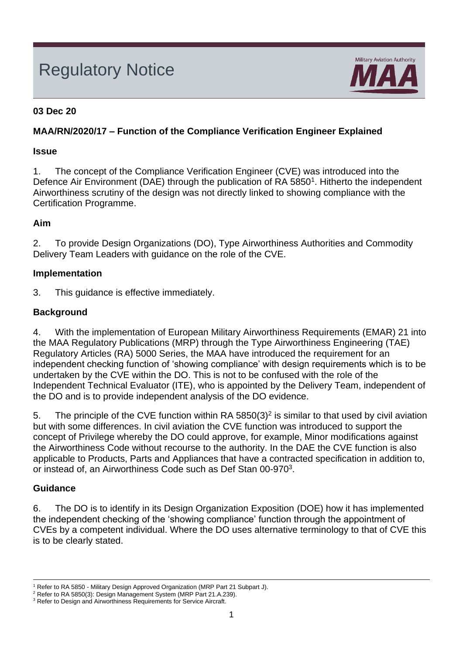# Regulatory Notice



### **03 Dec 20**

## **MAA/RN/2020/17 – Function of the Compliance Verification Engineer Explained**

#### **Issue**

1. The concept of the Compliance Verification Engineer (CVE) was introduced into the Defence Air Environment (DAE) through the publication of RA 5850<sup>1</sup>. Hitherto the independent Airworthiness scrutiny of the design was not directly linked to showing compliance with the Certification Programme.

## **Aim**

2. To provide Design Organizations (DO), Type Airworthiness Authorities and Commodity Delivery Team Leaders with guidance on the role of the CVE.

#### **Implementation**

3. This guidance is effective immediately.

## **Background**

4. With the implementation of European Military Airworthiness Requirements (EMAR) 21 into the MAA Regulatory Publications (MRP) through the Type Airworthiness Engineering (TAE) Regulatory Articles (RA) 5000 Series, the MAA have introduced the requirement for an independent checking function of 'showing compliance' with design requirements which is to be undertaken by the CVE within the DO. This is not to be confused with the role of the Independent Technical Evaluator (ITE), who is appointed by the Delivery Team, independent of the DO and is to provide independent analysis of the DO evidence.

5. The principle of the CVE function within RA 5850(3)<sup>2</sup> is similar to that used by civil aviation but with some differences. In civil aviation the CVE function was introduced to support the concept of Privilege whereby the DO could approve, for example, Minor modifications against the Airworthiness Code without recourse to the authority. In the DAE the CVE function is also applicable to Products, Parts and Appliances that have a contracted specification in addition to, or instead of, an Airworthiness Code such as Def Stan 00-970<sup>3</sup>.

## **Guidance**

6. The DO is to identify in its Design Organization Exposition (DOE) how it has implemented the independent checking of the 'showing compliance' function through the appointment of CVEs by a competent individual. Where the DO uses alternative terminology to that of CVE this is to be clearly stated.

<sup>&</sup>lt;sup>1</sup> Refer to RA 5850 - Military Design Approved Organization (MRP Part 21 Subpart J).

<sup>2</sup> Refer to RA 5850(3): Design Management System (MRP Part 21.A.239).

<sup>&</sup>lt;sup>3</sup> Refer to Design and Airworthiness Requirements for Service Aircraft.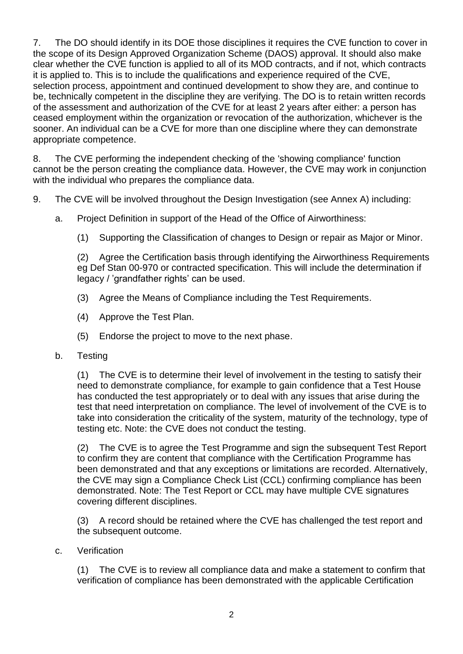7. The DO should identify in its DOE those disciplines it requires the CVE function to cover in the scope of its Design Approved Organization Scheme (DAOS) approval. It should also make clear whether the CVE function is applied to all of its MOD contracts, and if not, which contracts it is applied to. This is to include the qualifications and experience required of the CVE, selection process, appointment and continued development to show they are, and continue to be, technically competent in the discipline they are verifying. The DO is to retain written records of the assessment and authorization of the CVE for at least 2 years after either: a person has ceased employment within the organization or revocation of the authorization, whichever is the sooner. An individual can be a CVE for more than one discipline where they can demonstrate appropriate competence.

8. The CVE performing the independent checking of the 'showing compliance' function cannot be the person creating the compliance data. However, the CVE may work in conjunction with the individual who prepares the compliance data.

- 9. The CVE will be involved throughout the Design Investigation (see Annex A) including:
	- a. Project Definition in support of the Head of the Office of Airworthiness:
		- (1) Supporting the Classification of changes to Design or repair as Major or Minor.

(2) Agree the Certification basis through identifying the Airworthiness Requirements eg Def Stan 00-970 or contracted specification. This will include the determination if legacy / 'grandfather rights' can be used.

- (3) Agree the Means of Compliance including the Test Requirements.
- (4) Approve the Test Plan.
- (5) Endorse the project to move to the next phase.
- b. Testing

(1) The CVE is to determine their level of involvement in the testing to satisfy their need to demonstrate compliance, for example to gain confidence that a Test House has conducted the test appropriately or to deal with any issues that arise during the test that need interpretation on compliance. The level of involvement of the CVE is to take into consideration the criticality of the system, maturity of the technology, type of testing etc. Note: the CVE does not conduct the testing.

(2) The CVE is to agree the Test Programme and sign the subsequent Test Report to confirm they are content that compliance with the Certification Programme has been demonstrated and that any exceptions or limitations are recorded. Alternatively, the CVE may sign a Compliance Check List (CCL) confirming compliance has been demonstrated. Note: The Test Report or CCL may have multiple CVE signatures covering different disciplines.

(3) A record should be retained where the CVE has challenged the test report and the subsequent outcome.

c. Verification

(1) The CVE is to review all compliance data and make a statement to confirm that verification of compliance has been demonstrated with the applicable Certification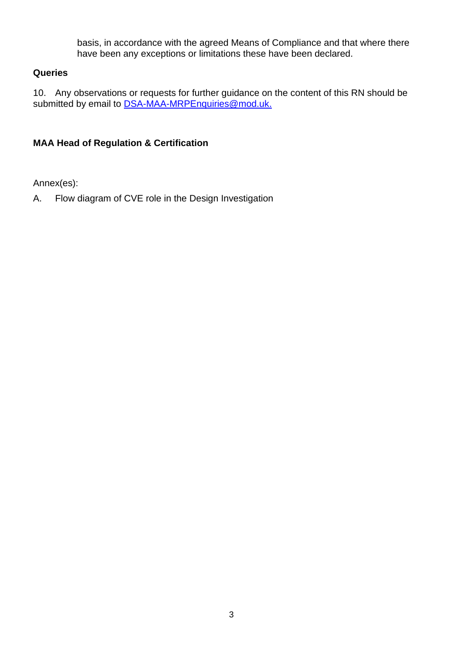basis, in accordance with the agreed Means of Compliance and that where there have been any exceptions or limitations these have been declared.

### **Queries**

10. Any observations or requests for further guidance on the content of this RN should be submitted by email to [DSA-MAA-MRPEnquiries@mod.uk.](mailto:DSA-MAA-MRPEnquiries@mod.uk)

## **MAA Head of Regulation & Certification**

Annex(es):

A. Flow diagram of CVE role in the Design Investigation